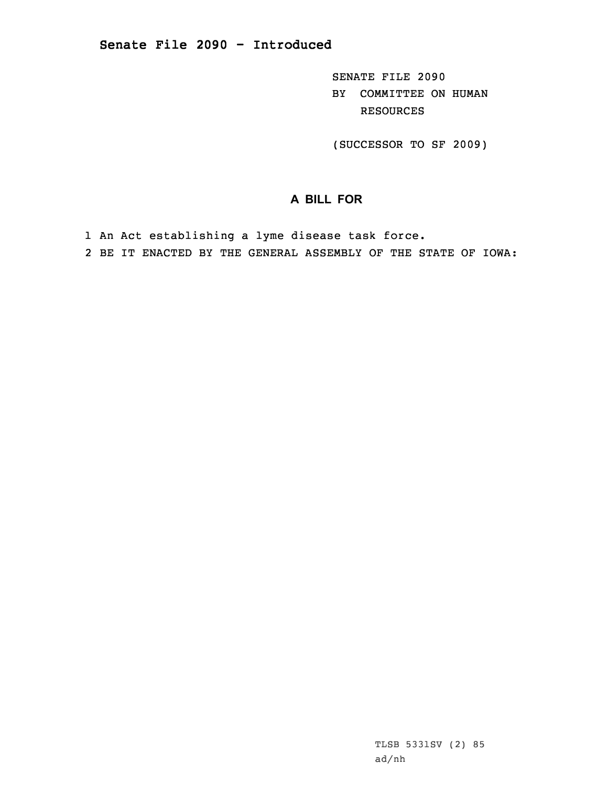SENATE FILE 2090 BY COMMITTEE ON HUMAN RESOURCES

(SUCCESSOR TO SF 2009)

## **A BILL FOR**

- 1 An Act establishing <sup>a</sup> lyme disease task force.
- 2 BE IT ENACTED BY THE GENERAL ASSEMBLY OF THE STATE OF IOWA: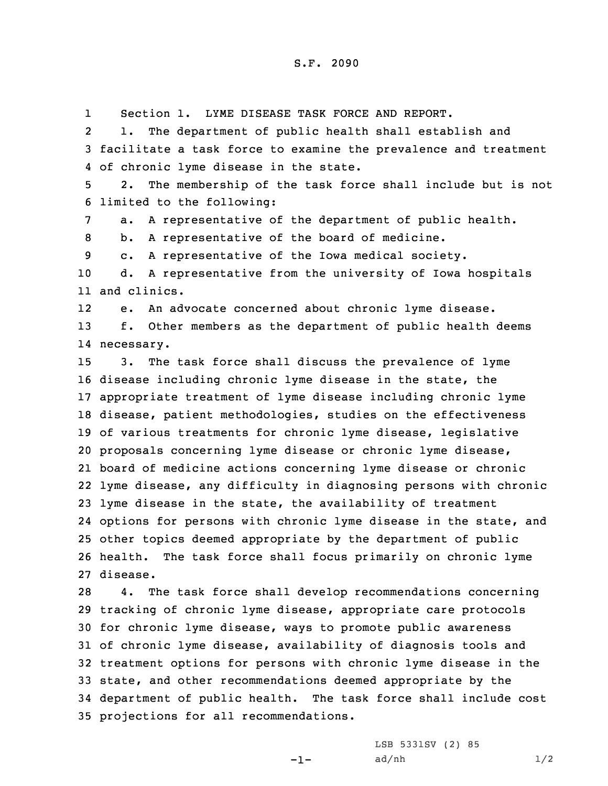1Section 1. LYME DISEASE TASK FORCE AND REPORT.

2 1. The department of public health shall establish and 3 facilitate <sup>a</sup> task force to examine the prevalence and treatment 4 of chronic lyme disease in the state.

5 2. The membership of the task force shall include but is not 6 limited to the following:

7 a. <sup>A</sup> representative of the department of public health.

8 b. <sup>A</sup> representative of the board of medicine.

9 c. <sup>A</sup> representative of the Iowa medical society.

10 d. <sup>A</sup> representative from the university of Iowa hospitals 11 and clinics.

12e. An advocate concerned about chronic lyme disease.

13 f. Other members as the department of public health deems 14 necessary.

 3. The task force shall discuss the prevalence of lyme disease including chronic lyme disease in the state, the appropriate treatment of lyme disease including chronic lyme disease, patient methodologies, studies on the effectiveness of various treatments for chronic lyme disease, legislative proposals concerning lyme disease or chronic lyme disease, board of medicine actions concerning lyme disease or chronic lyme disease, any difficulty in diagnosing persons with chronic lyme disease in the state, the availability of treatment options for persons with chronic lyme disease in the state, and other topics deemed appropriate by the department of public health. The task force shall focus primarily on chronic lyme 27 disease.

 4. The task force shall develop recommendations concerning tracking of chronic lyme disease, appropriate care protocols for chronic lyme disease, ways to promote public awareness of chronic lyme disease, availability of diagnosis tools and treatment options for persons with chronic lyme disease in the state, and other recommendations deemed appropriate by the department of public health. The task force shall include cost projections for all recommendations.

 $-1-$ 

LSB 5331SV (2) 85  $ad/nh$   $1/2$